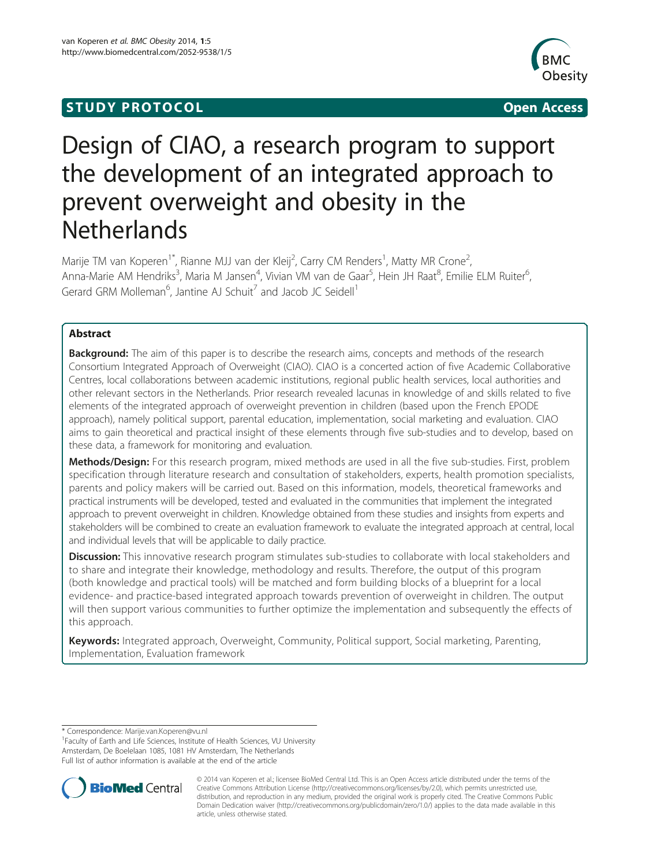## **STUDY PROTOCOL** CONTROL CONTROL CONTROL CONTROL CONTROL CONTROL CONTROL CONTROL CONTROL CONTROL CONTROL CONTROL CONTROL CONTROL CONTROL CONTROL CONTROL CONTROL CONTROL CONTROL CONTROL CONTROL CONTROL CONTROL CONTROL CONTR



# Design of CIAO, a research program to support the development of an integrated approach to prevent overweight and obesity in the **Netherlands**

Marije TM van Koperen<sup>1\*</sup>, Rianne MJJ van der Kleij<sup>2</sup>, Carry CM Renders<sup>1</sup>, Matty MR Crone<sup>2</sup> , Anna-Marie AM Hendriks<sup>3</sup>, Maria M Jansen<sup>4</sup>, Vivian VM van de Gaar<sup>5</sup>, Hein JH Raat<sup>8</sup>, Emilie ELM Ruiter<sup>6</sup> , Gerard GRM Molleman<sup>6</sup>, Jantine AJ Schuit<sup>7</sup> and Jacob JC Seidell<sup>1</sup>

## Abstract

**Background:** The aim of this paper is to describe the research aims, concepts and methods of the research Consortium Integrated Approach of Overweight (CIAO). CIAO is a concerted action of five Academic Collaborative Centres, local collaborations between academic institutions, regional public health services, local authorities and other relevant sectors in the Netherlands. Prior research revealed lacunas in knowledge of and skills related to five elements of the integrated approach of overweight prevention in children (based upon the French EPODE approach), namely political support, parental education, implementation, social marketing and evaluation. CIAO aims to gain theoretical and practical insight of these elements through five sub-studies and to develop, based on these data, a framework for monitoring and evaluation.

Methods/Design: For this research program, mixed methods are used in all the five sub-studies. First, problem specification through literature research and consultation of stakeholders, experts, health promotion specialists, parents and policy makers will be carried out. Based on this information, models, theoretical frameworks and practical instruments will be developed, tested and evaluated in the communities that implement the integrated approach to prevent overweight in children. Knowledge obtained from these studies and insights from experts and stakeholders will be combined to create an evaluation framework to evaluate the integrated approach at central, local and individual levels that will be applicable to daily practice.

**Discussion:** This innovative research program stimulates sub-studies to collaborate with local stakeholders and to share and integrate their knowledge, methodology and results. Therefore, the output of this program (both knowledge and practical tools) will be matched and form building blocks of a blueprint for a local evidence- and practice-based integrated approach towards prevention of overweight in children. The output will then support various communities to further optimize the implementation and subsequently the effects of this approach.

Keywords: Integrated approach, Overweight, Community, Political support, Social marketing, Parenting, Implementation, Evaluation framework

\* Correspondence: [Marije.van.Koperen@vu.nl](mailto:Marije.van.Koperen@vu.nl) <sup>1</sup>

<sup>&</sup>lt;sup>1</sup> Faculty of Earth and Life Sciences, Institute of Health Sciences, VU University Amsterdam, De Boelelaan 1085, 1081 HV Amsterdam, The Netherlands Full list of author information is available at the end of the article



© 2014 van Koperen et al.; licensee BioMed Central Ltd. This is an Open Access article distributed under the terms of the Creative Commons Attribution License (<http://creativecommons.org/licenses/by/2.0>), which permits unrestricted use, distribution, and reproduction in any medium, provided the original work is properly cited. The Creative Commons Public Domain Dedication waiver [\(http://creativecommons.org/publicdomain/zero/1.0/\)](http://creativecommons.org/publicdomain/zero/1.0/) applies to the data made available in this article, unless otherwise stated.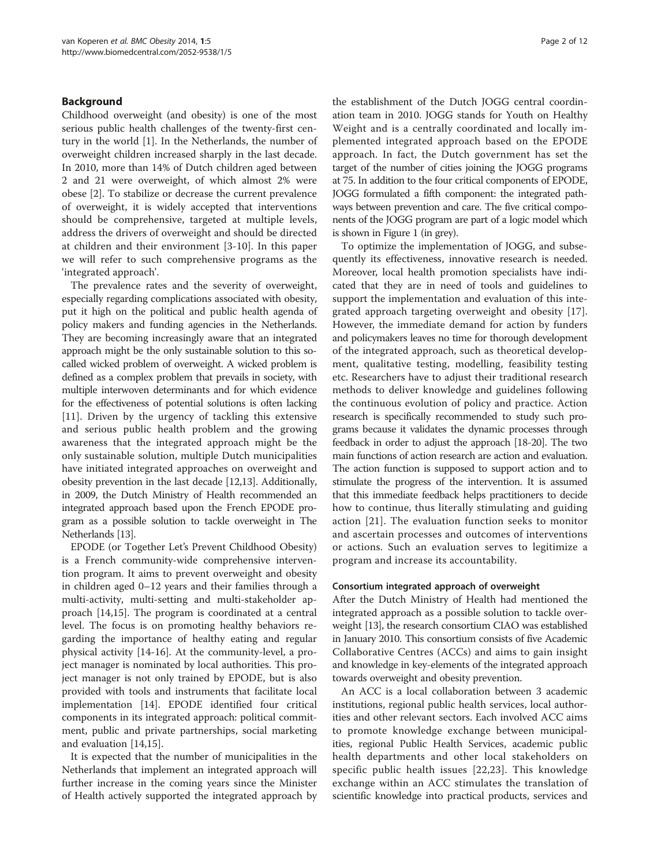## Background

Childhood overweight (and obesity) is one of the most serious public health challenges of the twenty-first century in the world [[1\]](#page-10-0). In the Netherlands, the number of overweight children increased sharply in the last decade. In 2010, more than 14% of Dutch children aged between 2 and 21 were overweight, of which almost 2% were obese [[2](#page-10-0)]. To stabilize or decrease the current prevalence of overweight, it is widely accepted that interventions should be comprehensive, targeted at multiple levels, address the drivers of overweight and should be directed at children and their environment [\[3](#page-10-0)-[10\]](#page-10-0). In this paper we will refer to such comprehensive programs as the 'integrated approach'.

The prevalence rates and the severity of overweight, especially regarding complications associated with obesity, put it high on the political and public health agenda of policy makers and funding agencies in the Netherlands. They are becoming increasingly aware that an integrated approach might be the only sustainable solution to this socalled wicked problem of overweight. A wicked problem is defined as a complex problem that prevails in society, with multiple interwoven determinants and for which evidence for the effectiveness of potential solutions is often lacking [[11\]](#page-10-0). Driven by the urgency of tackling this extensive and serious public health problem and the growing awareness that the integrated approach might be the only sustainable solution, multiple Dutch municipalities have initiated integrated approaches on overweight and obesity prevention in the last decade [\[12,13](#page-10-0)]. Additionally, in 2009, the Dutch Ministry of Health recommended an integrated approach based upon the French EPODE program as a possible solution to tackle overweight in The Netherlands [\[13](#page-10-0)].

EPODE (or Together Let's Prevent Childhood Obesity) is a French community-wide comprehensive intervention program. It aims to prevent overweight and obesity in children aged 0–12 years and their families through a multi-activity, multi-setting and multi-stakeholder approach [[14](#page-10-0),[15](#page-10-0)]. The program is coordinated at a central level. The focus is on promoting healthy behaviors regarding the importance of healthy eating and regular physical activity [[14](#page-10-0)-[16\]](#page-10-0). At the community-level, a project manager is nominated by local authorities. This project manager is not only trained by EPODE, but is also provided with tools and instruments that facilitate local implementation [[14\]](#page-10-0). EPODE identified four critical components in its integrated approach: political commitment, public and private partnerships, social marketing and evaluation [[14](#page-10-0),[15\]](#page-10-0).

It is expected that the number of municipalities in the Netherlands that implement an integrated approach will further increase in the coming years since the Minister of Health actively supported the integrated approach by

the establishment of the Dutch JOGG central coordination team in 2010. JOGG stands for Youth on Healthy Weight and is a centrally coordinated and locally implemented integrated approach based on the EPODE approach. In fact, the Dutch government has set the target of the number of cities joining the JOGG programs at 75. In addition to the four critical components of EPODE, JOGG formulated a fifth component: the integrated pathways between prevention and care. The five critical components of the JOGG program are part of a logic model which is shown in Figure [1](#page-2-0) (in grey).

To optimize the implementation of JOGG, and subsequently its effectiveness, innovative research is needed. Moreover, local health promotion specialists have indicated that they are in need of tools and guidelines to support the implementation and evaluation of this integrated approach targeting overweight and obesity [\[17](#page-10-0)]. However, the immediate demand for action by funders and policymakers leaves no time for thorough development of the integrated approach, such as theoretical development, qualitative testing, modelling, feasibility testing etc. Researchers have to adjust their traditional research methods to deliver knowledge and guidelines following the continuous evolution of policy and practice. Action research is specifically recommended to study such programs because it validates the dynamic processes through feedback in order to adjust the approach [\[18-20](#page-10-0)]. The two main functions of action research are action and evaluation. The action function is supposed to support action and to stimulate the progress of the intervention. It is assumed that this immediate feedback helps practitioners to decide how to continue, thus literally stimulating and guiding action [[21](#page-10-0)]. The evaluation function seeks to monitor and ascertain processes and outcomes of interventions or actions. Such an evaluation serves to legitimize a program and increase its accountability.

#### Consortium integrated approach of overweight

After the Dutch Ministry of Health had mentioned the integrated approach as a possible solution to tackle overweight [\[13\]](#page-10-0), the research consortium CIAO was established in January 2010. This consortium consists of five Academic Collaborative Centres (ACCs) and aims to gain insight and knowledge in key-elements of the integrated approach towards overweight and obesity prevention.

An ACC is a local collaboration between 3 academic institutions, regional public health services, local authorities and other relevant sectors. Each involved ACC aims to promote knowledge exchange between municipalities, regional Public Health Services, academic public health departments and other local stakeholders on specific public health issues [[22,23](#page-10-0)]. This knowledge exchange within an ACC stimulates the translation of scientific knowledge into practical products, services and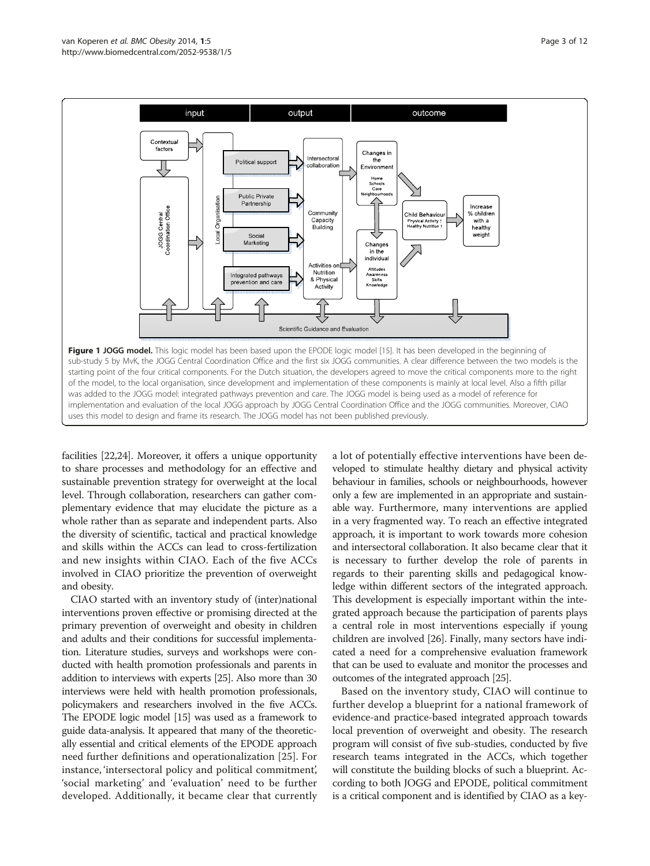<span id="page-2-0"></span>

facilities [[22,24\]](#page-10-0). Moreover, it offers a unique opportunity to share processes and methodology for an effective and sustainable prevention strategy for overweight at the local level. Through collaboration, researchers can gather complementary evidence that may elucidate the picture as a whole rather than as separate and independent parts. Also the diversity of scientific, tactical and practical knowledge and skills within the ACCs can lead to cross-fertilization and new insights within CIAO. Each of the five ACCs involved in CIAO prioritize the prevention of overweight and obesity.

CIAO started with an inventory study of (inter)national interventions proven effective or promising directed at the primary prevention of overweight and obesity in children and adults and their conditions for successful implementation. Literature studies, surveys and workshops were conducted with health promotion professionals and parents in addition to interviews with experts [\[25\]](#page-10-0). Also more than 30 interviews were held with health promotion professionals, policymakers and researchers involved in the five ACCs. The EPODE logic model [\[15\]](#page-10-0) was used as a framework to guide data-analysis. It appeared that many of the theoretically essential and critical elements of the EPODE approach need further definitions and operationalization [[25](#page-10-0)]. For instance, 'intersectoral policy and political commitment', 'social marketing' and 'evaluation' need to be further developed. Additionally, it became clear that currently

a lot of potentially effective interventions have been developed to stimulate healthy dietary and physical activity behaviour in families, schools or neighbourhoods, however only a few are implemented in an appropriate and sustainable way. Furthermore, many interventions are applied in a very fragmented way. To reach an effective integrated approach, it is important to work towards more cohesion and intersectoral collaboration. It also became clear that it is necessary to further develop the role of parents in regards to their parenting skills and pedagogical knowledge within different sectors of the integrated approach. This development is especially important within the integrated approach because the participation of parents plays a central role in most interventions especially if young children are involved [[26](#page-10-0)]. Finally, many sectors have indicated a need for a comprehensive evaluation framework that can be used to evaluate and monitor the processes and outcomes of the integrated approach [\[25\]](#page-10-0).

Based on the inventory study, CIAO will continue to further develop a blueprint for a national framework of evidence-and practice-based integrated approach towards local prevention of overweight and obesity. The research program will consist of five sub-studies, conducted by five research teams integrated in the ACCs, which together will constitute the building blocks of such a blueprint. According to both JOGG and EPODE, political commitment is a critical component and is identified by CIAO as a key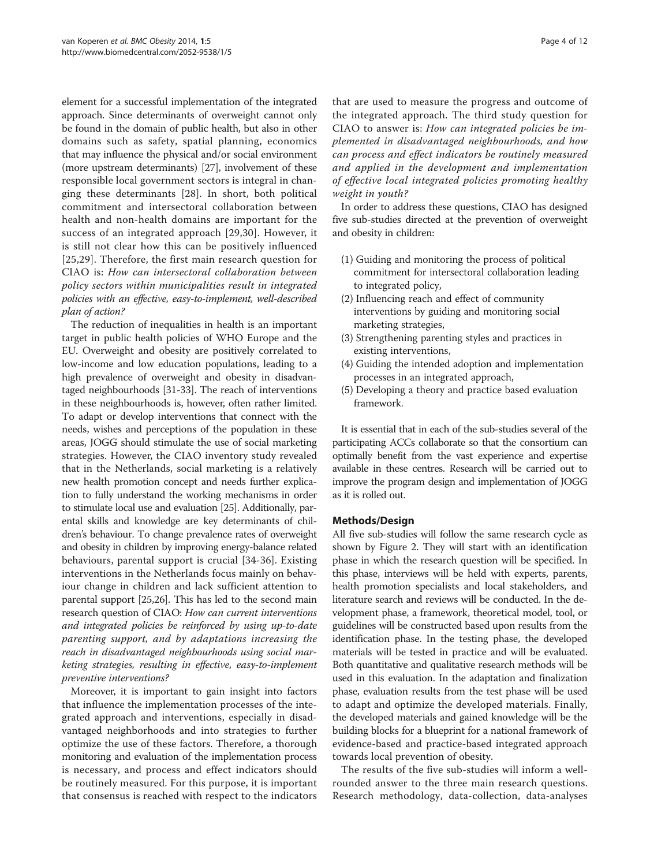element for a successful implementation of the integrated approach. Since determinants of overweight cannot only be found in the domain of public health, but also in other domains such as safety, spatial planning, economics that may influence the physical and/or social environment (more upstream determinants) [[27](#page-10-0)], involvement of these responsible local government sectors is integral in changing these determinants [[28\]](#page-10-0). In short, both political commitment and intersectoral collaboration between health and non-health domains are important for the success of an integrated approach [[29,](#page-10-0)[30](#page-11-0)]. However, it is still not clear how this can be positively influenced [[25](#page-10-0),[29\]](#page-10-0). Therefore, the first main research question for CIAO is: How can intersectoral collaboration between policy sectors within municipalities result in integrated policies with an effective, easy-to-implement, well-described plan of action?

The reduction of inequalities in health is an important target in public health policies of WHO Europe and the EU. Overweight and obesity are positively correlated to low-income and low education populations, leading to a high prevalence of overweight and obesity in disadvantaged neighbourhoods [\[31-33\]](#page-11-0). The reach of interventions in these neighbourhoods is, however, often rather limited. To adapt or develop interventions that connect with the needs, wishes and perceptions of the population in these areas, JOGG should stimulate the use of social marketing strategies. However, the CIAO inventory study revealed that in the Netherlands, social marketing is a relatively new health promotion concept and needs further explication to fully understand the working mechanisms in order to stimulate local use and evaluation [\[25](#page-10-0)]. Additionally, parental skills and knowledge are key determinants of children's behaviour. To change prevalence rates of overweight and obesity in children by improving energy-balance related behaviours, parental support is crucial [[34-36](#page-11-0)]. Existing interventions in the Netherlands focus mainly on behaviour change in children and lack sufficient attention to parental support [[25,26\]](#page-10-0). This has led to the second main research question of CIAO: How can current interventions and integrated policies be reinforced by using up-to-date parenting support, and by adaptations increasing the reach in disadvantaged neighbourhoods using social marketing strategies, resulting in effective, easy-to-implement preventive interventions?

Moreover, it is important to gain insight into factors that influence the implementation processes of the integrated approach and interventions, especially in disadvantaged neighborhoods and into strategies to further optimize the use of these factors. Therefore, a thorough monitoring and evaluation of the implementation process is necessary, and process and effect indicators should be routinely measured. For this purpose, it is important that consensus is reached with respect to the indicators

that are used to measure the progress and outcome of the integrated approach. The third study question for CIAO to answer is: How can integrated policies be implemented in disadvantaged neighbourhoods, and how can process and effect indicators be routinely measured and applied in the development and implementation of effective local integrated policies promoting healthy weight in youth?

In order to address these questions, CIAO has designed five sub-studies directed at the prevention of overweight and obesity in children:

- (1) Guiding and monitoring the process of political commitment for intersectoral collaboration leading to integrated policy,
- (2) Influencing reach and effect of community interventions by guiding and monitoring social marketing strategies,
- (3) Strengthening parenting styles and practices in existing interventions,
- (4) Guiding the intended adoption and implementation processes in an integrated approach,
- (5) Developing a theory and practice based evaluation framework.

It is essential that in each of the sub-studies several of the participating ACCs collaborate so that the consortium can optimally benefit from the vast experience and expertise available in these centres. Research will be carried out to improve the program design and implementation of JOGG as it is rolled out.

## Methods/Design

All five sub-studies will follow the same research cycle as shown by Figure [2.](#page-4-0) They will start with an identification phase in which the research question will be specified. In this phase, interviews will be held with experts, parents, health promotion specialists and local stakeholders, and literature search and reviews will be conducted. In the development phase, a framework, theoretical model, tool, or guidelines will be constructed based upon results from the identification phase. In the testing phase, the developed materials will be tested in practice and will be evaluated. Both quantitative and qualitative research methods will be used in this evaluation. In the adaptation and finalization phase, evaluation results from the test phase will be used to adapt and optimize the developed materials. Finally, the developed materials and gained knowledge will be the building blocks for a blueprint for a national framework of evidence-based and practice-based integrated approach towards local prevention of obesity.

The results of the five sub-studies will inform a wellrounded answer to the three main research questions. Research methodology, data-collection, data-analyses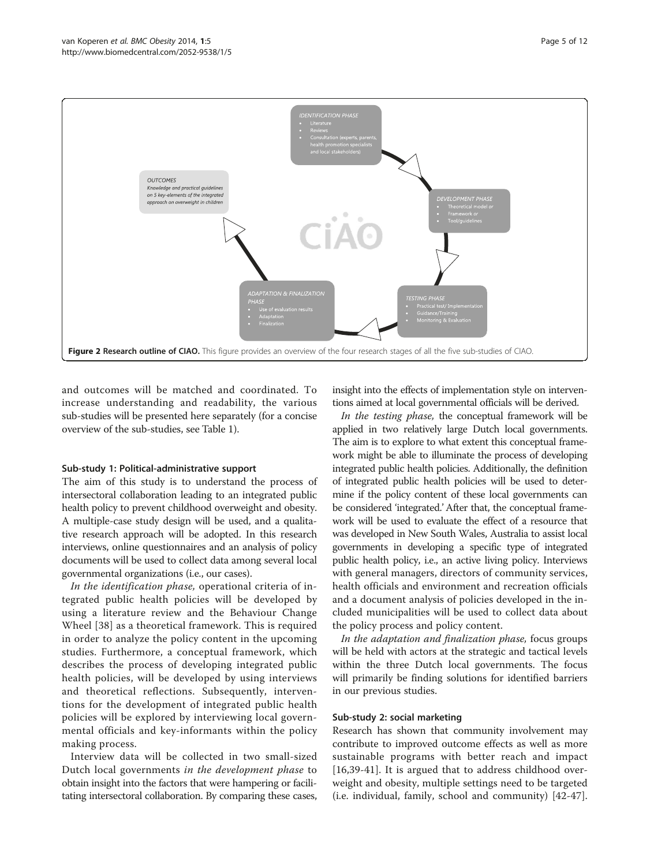<span id="page-4-0"></span>

and outcomes will be matched and coordinated. To increase understanding and readability, the various sub-studies will be presented here separately (for a concise overview of the sub-studies, see Table [1](#page-5-0)).

#### Sub-study 1: Political-administrative support

The aim of this study is to understand the process of intersectoral collaboration leading to an integrated public health policy to prevent childhood overweight and obesity. A multiple-case study design will be used, and a qualitative research approach will be adopted. In this research interviews, online questionnaires and an analysis of policy documents will be used to collect data among several local governmental organizations (i.e., our cases).

In the identification phase, operational criteria of integrated public health policies will be developed by using a literature review and the Behaviour Change Wheel [\[38](#page-11-0)] as a theoretical framework. This is required in order to analyze the policy content in the upcoming studies. Furthermore, a conceptual framework, which describes the process of developing integrated public health policies, will be developed by using interviews and theoretical reflections. Subsequently, interventions for the development of integrated public health policies will be explored by interviewing local governmental officials and key-informants within the policy making process.

Interview data will be collected in two small-sized Dutch local governments in the development phase to obtain insight into the factors that were hampering or facilitating intersectoral collaboration. By comparing these cases, insight into the effects of implementation style on interventions aimed at local governmental officials will be derived.

In the testing phase, the conceptual framework will be applied in two relatively large Dutch local governments. The aim is to explore to what extent this conceptual framework might be able to illuminate the process of developing integrated public health policies. Additionally, the definition of integrated public health policies will be used to determine if the policy content of these local governments can be considered 'integrated.' After that, the conceptual framework will be used to evaluate the effect of a resource that was developed in New South Wales, Australia to assist local governments in developing a specific type of integrated public health policy, i.e., an active living policy. Interviews with general managers, directors of community services, health officials and environment and recreation officials and a document analysis of policies developed in the included municipalities will be used to collect data about the policy process and policy content.

In the adaptation and finalization phase, focus groups will be held with actors at the strategic and tactical levels within the three Dutch local governments. The focus will primarily be finding solutions for identified barriers in our previous studies.

#### Sub-study 2: social marketing

Research has shown that community involvement may contribute to improved outcome effects as well as more sustainable programs with better reach and impact [[16](#page-10-0)[,39](#page-11-0)-[41\]](#page-11-0). It is argued that to address childhood overweight and obesity, multiple settings need to be targeted (i.e. individual, family, school and community) [\[42](#page-11-0)-[47](#page-11-0)].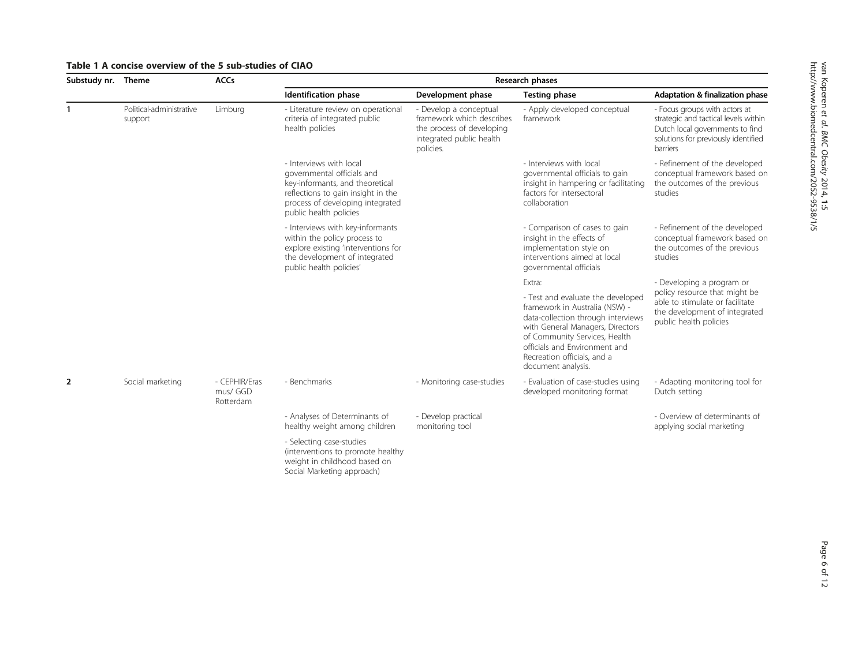| Substudy nr. Theme |                                     | <b>ACCs</b>                            | Research phases                                                                                                                                                                              |                                                                                                                           |                                                                                                                                                                                                                                                                      |                                                                                                                                                             |  |
|--------------------|-------------------------------------|----------------------------------------|----------------------------------------------------------------------------------------------------------------------------------------------------------------------------------------------|---------------------------------------------------------------------------------------------------------------------------|----------------------------------------------------------------------------------------------------------------------------------------------------------------------------------------------------------------------------------------------------------------------|-------------------------------------------------------------------------------------------------------------------------------------------------------------|--|
|                    |                                     |                                        | Identification phase                                                                                                                                                                         | Development phase                                                                                                         | <b>Testing phase</b>                                                                                                                                                                                                                                                 | Adaptation & finalization phase                                                                                                                             |  |
| $\mathbf{1}$       | Political-administrative<br>support | Limburg                                | - Literature review on operational<br>criteria of integrated public<br>health policies                                                                                                       | - Develop a conceptual<br>framework which describes<br>the process of developing<br>integrated public health<br>policies. | - Apply developed conceptual<br>framework                                                                                                                                                                                                                            | - Focus groups with actors at<br>strategic and tactical levels within<br>Dutch local governments to find<br>solutions for previously identified<br>barriers |  |
|                    |                                     |                                        | - Interviews with local<br>governmental officials and<br>key-informants, and theoretical<br>reflections to gain insight in the<br>process of developing integrated<br>public health policies |                                                                                                                           | - Interviews with local<br>governmental officials to gain<br>insight in hampering or facilitating<br>factors for intersectoral<br>collaboration                                                                                                                      | - Refinement of the developed<br>conceptual framework based on<br>the outcomes of the previous<br>studies                                                   |  |
|                    |                                     |                                        | - Interviews with key-informants<br>within the policy process to<br>explore existing 'interventions for<br>the development of integrated<br>public health policies'                          |                                                                                                                           | - Comparison of cases to gain<br>insight in the effects of<br>implementation style on<br>interventions aimed at local<br>governmental officials                                                                                                                      | - Refinement of the developed<br>conceptual framework based on<br>the outcomes of the previous<br>studies                                                   |  |
|                    |                                     |                                        |                                                                                                                                                                                              |                                                                                                                           | Extra:                                                                                                                                                                                                                                                               | - Developing a program or<br>policy resource that might be<br>able to stimulate or facilitate<br>the development of integrated<br>public health policies    |  |
|                    |                                     |                                        |                                                                                                                                                                                              |                                                                                                                           | - Test and evaluate the developed<br>framework in Australia (NSW) -<br>data-collection through interviews<br>with General Managers, Directors<br>of Community Services, Health<br>officials and Environment and<br>Recreation officials, and a<br>document analysis. |                                                                                                                                                             |  |
| $\overline{2}$     | Social marketing                    | - CEPHIR/Eras<br>mus/ GGD<br>Rotterdam | - Benchmarks                                                                                                                                                                                 | - Monitoring case-studies                                                                                                 | - Evaluation of case-studies using<br>developed monitoring format                                                                                                                                                                                                    | - Adapting monitoring tool for<br>Dutch setting                                                                                                             |  |
|                    |                                     |                                        | - Analyses of Determinants of<br>healthy weight among children                                                                                                                               | - Develop practical<br>monitoring tool                                                                                    |                                                                                                                                                                                                                                                                      | - Overview of determinants of<br>applying social marketing                                                                                                  |  |
|                    |                                     |                                        | - Selecting case-studies<br>(interventions to promote healthy<br>weight in childhood based on<br>Social Marketing approach)                                                                  |                                                                                                                           |                                                                                                                                                                                                                                                                      |                                                                                                                                                             |  |

## <span id="page-5-0"></span>Table 1 A concise overview of the 5 sub-studies of CIAO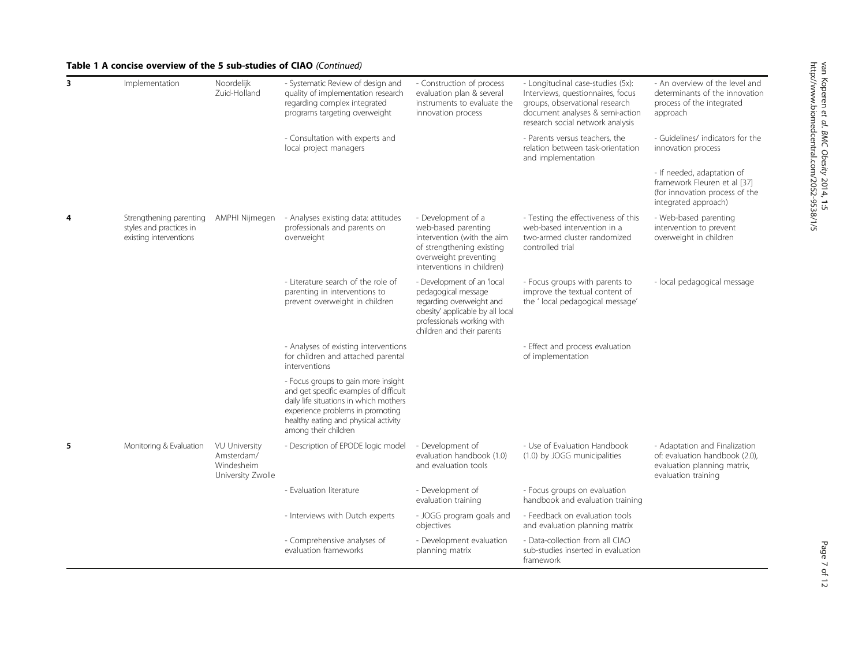| 3 | Implementation                                                               | Noordelijk<br>Zuid-Holland                                            | - Systematic Review of design and<br>quality of implementation research<br>regarding complex integrated<br>programs targeting overweight                                                                                    | - Construction of process<br>evaluation plan & several<br>instruments to evaluate the<br>innovation process                                                                   | - Longitudinal case-studies (5x):<br>Interviews, questionnaires, focus<br>groups, observational research<br>document analyses & semi-action<br>research social network analysis | - An overview of the level and<br>determinants of the innovation<br>process of the integrated<br>approach             |
|---|------------------------------------------------------------------------------|-----------------------------------------------------------------------|-----------------------------------------------------------------------------------------------------------------------------------------------------------------------------------------------------------------------------|-------------------------------------------------------------------------------------------------------------------------------------------------------------------------------|---------------------------------------------------------------------------------------------------------------------------------------------------------------------------------|-----------------------------------------------------------------------------------------------------------------------|
|   |                                                                              |                                                                       | - Consultation with experts and<br>local project managers                                                                                                                                                                   |                                                                                                                                                                               | - Parents versus teachers, the<br>relation between task-orientation<br>and implementation                                                                                       | - Guidelines/ indicators for the<br>innovation process                                                                |
|   |                                                                              |                                                                       |                                                                                                                                                                                                                             |                                                                                                                                                                               |                                                                                                                                                                                 | - If needed, adaptation of<br>framework Fleuren et al [37]<br>(for innovation process of the<br>integrated approach)  |
| 4 | Strengthening parenting<br>styles and practices in<br>existing interventions | AMPHI Nijmegen                                                        | - Analyses existing data: attitudes<br>professionals and parents on<br>overweight                                                                                                                                           | - Development of a<br>web-based parenting<br>intervention (with the aim<br>of strengthening existing<br>overweight preventing<br>interventions in children)                   | - Testing the effectiveness of this<br>web-based intervention in a<br>two-armed cluster randomized<br>controlled trial                                                          | - Web-based parenting<br>intervention to prevent<br>overweight in children                                            |
|   |                                                                              |                                                                       | - Literature search of the role of<br>parenting in interventions to<br>prevent overweight in children                                                                                                                       | - Development of an 'local<br>pedagogical message<br>regarding overweight and<br>obesity' applicable by all local<br>professionals working with<br>children and their parents | - Focus groups with parents to<br>improve the textual content of<br>the ' local pedagogical message'                                                                            | - local pedagogical message                                                                                           |
|   |                                                                              |                                                                       | - Analyses of existing interventions<br>for children and attached parental<br>interventions                                                                                                                                 |                                                                                                                                                                               | - Effect and process evaluation<br>of implementation                                                                                                                            |                                                                                                                       |
|   |                                                                              |                                                                       | - Focus groups to gain more insight<br>and get specific examples of difficult<br>daily life situations in which mothers<br>experience problems in promoting<br>healthy eating and physical activity<br>among their children |                                                                                                                                                                               |                                                                                                                                                                                 |                                                                                                                       |
| 5 | Monitoring & Evaluation                                                      | <b>VU University</b><br>Amsterdam/<br>Windesheim<br>University Zwolle | - Description of EPODE logic model                                                                                                                                                                                          | - Development of<br>evaluation handbook (1.0)<br>and evaluation tools                                                                                                         | - Use of Evaluation Handbook<br>(1.0) by JOGG municipalities                                                                                                                    | - Adaptation and Finalization<br>of: evaluation handbook (2.0),<br>evaluation planning matrix,<br>evaluation training |
|   |                                                                              |                                                                       | - Evaluation literature                                                                                                                                                                                                     | - Development of<br>evaluation training                                                                                                                                       | - Focus groups on evaluation<br>handbook and evaluation training                                                                                                                |                                                                                                                       |
|   |                                                                              |                                                                       | - Interviews with Dutch experts                                                                                                                                                                                             | - JOGG program goals and<br>objectives                                                                                                                                        | - Feedback on evaluation tools<br>and evaluation planning matrix                                                                                                                |                                                                                                                       |
|   |                                                                              |                                                                       | - Comprehensive analyses of<br>evaluation frameworks                                                                                                                                                                        | - Development evaluation<br>planning matrix                                                                                                                                   | - Data-collection from all CIAO<br>sub-studies inserted in evaluation<br>framework                                                                                              |                                                                                                                       |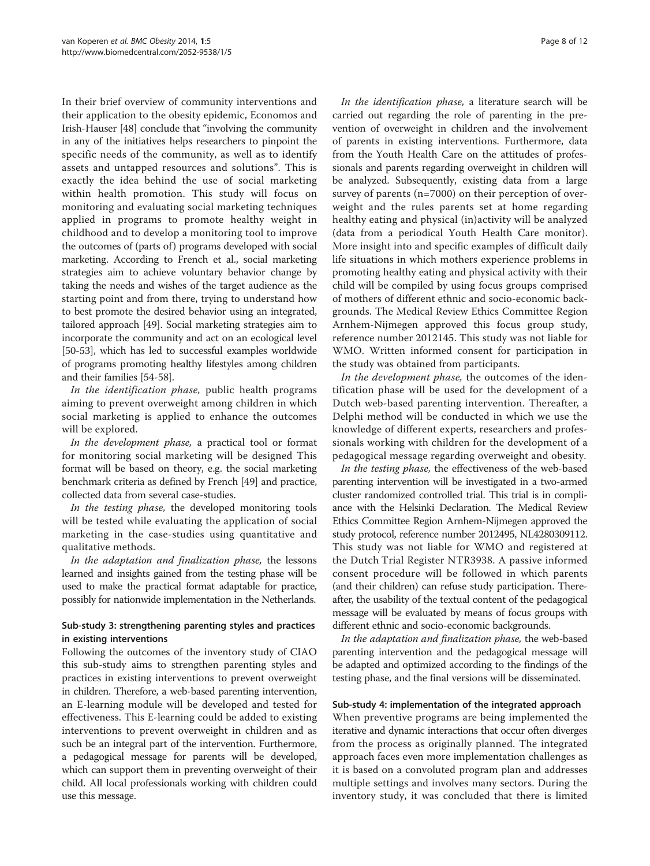In their brief overview of community interventions and their application to the obesity epidemic, Economos and Irish-Hauser [[48\]](#page-11-0) conclude that "involving the community in any of the initiatives helps researchers to pinpoint the specific needs of the community, as well as to identify assets and untapped resources and solutions". This is exactly the idea behind the use of social marketing within health promotion. This study will focus on monitoring and evaluating social marketing techniques applied in programs to promote healthy weight in childhood and to develop a monitoring tool to improve the outcomes of (parts of) programs developed with social marketing. According to French et al., social marketing strategies aim to achieve voluntary behavior change by taking the needs and wishes of the target audience as the starting point and from there, trying to understand how to best promote the desired behavior using an integrated, tailored approach [\[49\]](#page-11-0). Social marketing strategies aim to incorporate the community and act on an ecological level [[50](#page-11-0)-[53\]](#page-11-0), which has led to successful examples worldwide of programs promoting healthy lifestyles among children and their families [[54](#page-11-0)-[58](#page-11-0)].

In the identification phase, public health programs aiming to prevent overweight among children in which social marketing is applied to enhance the outcomes will be explored.

In the development phase, a practical tool or format for monitoring social marketing will be designed This format will be based on theory, e.g. the social marketing benchmark criteria as defined by French [\[49\]](#page-11-0) and practice, collected data from several case-studies.

In the testing phase, the developed monitoring tools will be tested while evaluating the application of social marketing in the case-studies using quantitative and qualitative methods.

In the adaptation and finalization phase, the lessons learned and insights gained from the testing phase will be used to make the practical format adaptable for practice, possibly for nationwide implementation in the Netherlands.

## Sub-study 3: strengthening parenting styles and practices in existing interventions

Following the outcomes of the inventory study of CIAO this sub-study aims to strengthen parenting styles and practices in existing interventions to prevent overweight in children. Therefore, a web-based parenting intervention, an E-learning module will be developed and tested for effectiveness. This E-learning could be added to existing interventions to prevent overweight in children and as such be an integral part of the intervention. Furthermore, a pedagogical message for parents will be developed, which can support them in preventing overweight of their child. All local professionals working with children could use this message.

In the identification phase, a literature search will be carried out regarding the role of parenting in the prevention of overweight in children and the involvement of parents in existing interventions. Furthermore, data from the Youth Health Care on the attitudes of professionals and parents regarding overweight in children will be analyzed. Subsequently, existing data from a large survey of parents (n=7000) on their perception of overweight and the rules parents set at home regarding healthy eating and physical (in)activity will be analyzed (data from a periodical Youth Health Care monitor). More insight into and specific examples of difficult daily life situations in which mothers experience problems in promoting healthy eating and physical activity with their child will be compiled by using focus groups comprised of mothers of different ethnic and socio-economic backgrounds. The Medical Review Ethics Committee Region Arnhem-Nijmegen approved this focus group study, reference number 2012145. This study was not liable for WMO. Written informed consent for participation in the study was obtained from participants.

In the development phase, the outcomes of the identification phase will be used for the development of a Dutch web-based parenting intervention. Thereafter, a Delphi method will be conducted in which we use the knowledge of different experts, researchers and professionals working with children for the development of a pedagogical message regarding overweight and obesity.

In the testing phase, the effectiveness of the web-based parenting intervention will be investigated in a two-armed cluster randomized controlled trial. This trial is in compliance with the Helsinki Declaration. The Medical Review Ethics Committee Region Arnhem-Nijmegen approved the study protocol, reference number 2012495, NL4280309112. This study was not liable for WMO and registered at the Dutch Trial Register NTR3938. A passive informed consent procedure will be followed in which parents (and their children) can refuse study participation. Thereafter, the usability of the textual content of the pedagogical message will be evaluated by means of focus groups with different ethnic and socio-economic backgrounds.

In the adaptation and finalization phase, the web-based parenting intervention and the pedagogical message will be adapted and optimized according to the findings of the testing phase, and the final versions will be disseminated.

## Sub-study 4: implementation of the integrated approach

When preventive programs are being implemented the iterative and dynamic interactions that occur often diverges from the process as originally planned. The integrated approach faces even more implementation challenges as it is based on a convoluted program plan and addresses multiple settings and involves many sectors. During the inventory study, it was concluded that there is limited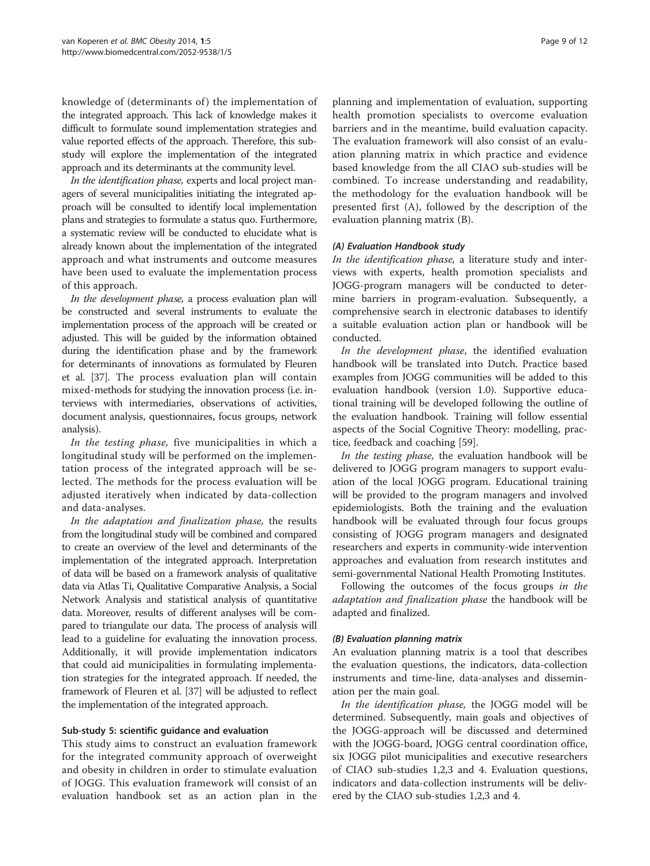knowledge of (determinants of) the implementation of the integrated approach. This lack of knowledge makes it difficult to formulate sound implementation strategies and value reported effects of the approach. Therefore, this substudy will explore the implementation of the integrated approach and its determinants at the community level.

In the identification phase, experts and local project managers of several municipalities initiating the integrated approach will be consulted to identify local implementation plans and strategies to formulate a status quo. Furthermore, a systematic review will be conducted to elucidate what is already known about the implementation of the integrated approach and what instruments and outcome measures have been used to evaluate the implementation process of this approach.

In the development phase, a process evaluation plan will be constructed and several instruments to evaluate the implementation process of the approach will be created or adjusted. This will be guided by the information obtained during the identification phase and by the framework for determinants of innovations as formulated by Fleuren et al. [\[37\]](#page-11-0). The process evaluation plan will contain mixed-methods for studying the innovation process (i.e. interviews with intermediaries, observations of activities, document analysis, questionnaires, focus groups, network analysis).

In the testing phase, five municipalities in which a longitudinal study will be performed on the implementation process of the integrated approach will be selected. The methods for the process evaluation will be adjusted iteratively when indicated by data-collection and data-analyses.

In the adaptation and finalization phase, the results from the longitudinal study will be combined and compared to create an overview of the level and determinants of the implementation of the integrated approach. Interpretation of data will be based on a framework analysis of qualitative data via Atlas Ti, Qualitative Comparative Analysis, a Social Network Analysis and statistical analysis of quantitative data. Moreover, results of different analyses will be compared to triangulate our data. The process of analysis will lead to a guideline for evaluating the innovation process. Additionally, it will provide implementation indicators that could aid municipalities in formulating implementation strategies for the integrated approach. If needed, the framework of Fleuren et al. [[37](#page-11-0)] will be adjusted to reflect the implementation of the integrated approach.

## Sub-study 5: scientific guidance and evaluation

This study aims to construct an evaluation framework for the integrated community approach of overweight and obesity in children in order to stimulate evaluation of JOGG. This evaluation framework will consist of an evaluation handbook set as an action plan in the

planning and implementation of evaluation, supporting health promotion specialists to overcome evaluation barriers and in the meantime, build evaluation capacity. The evaluation framework will also consist of an evaluation planning matrix in which practice and evidence based knowledge from the all CIAO sub-studies will be combined. To increase understanding and readability,

evaluation planning matrix (B). (A) Evaluation Handbook study

In the *identification phase*, a literature study and interviews with experts, health promotion specialists and JOGG-program managers will be conducted to determine barriers in program-evaluation. Subsequently, a comprehensive search in electronic databases to identify a suitable evaluation action plan or handbook will be conducted.

the methodology for the evaluation handbook will be presented first (A), followed by the description of the

In the development phase, the identified evaluation handbook will be translated into Dutch. Practice based examples from JOGG communities will be added to this evaluation handbook (version 1.0). Supportive educational training will be developed following the outline of the evaluation handbook. Training will follow essential aspects of the Social Cognitive Theory: modelling, practice, feedback and coaching [\[59](#page-11-0)].

In the testing phase, the evaluation handbook will be delivered to JOGG program managers to support evaluation of the local JOGG program. Educational training will be provided to the program managers and involved epidemiologists. Both the training and the evaluation handbook will be evaluated through four focus groups consisting of JOGG program managers and designated researchers and experts in community-wide intervention approaches and evaluation from research institutes and semi-governmental National Health Promoting Institutes.

Following the outcomes of the focus groups in the adaptation and finalization phase the handbook will be adapted and finalized.

## (B) Evaluation planning matrix

An evaluation planning matrix is a tool that describes the evaluation questions, the indicators, data-collection instruments and time-line, data-analyses and dissemination per the main goal.

In the identification phase, the JOGG model will be determined. Subsequently, main goals and objectives of the JOGG-approach will be discussed and determined with the JOGG-board, JOGG central coordination office, six JOGG pilot municipalities and executive researchers of CIAO sub-studies 1,2,3 and 4. Evaluation questions, indicators and data-collection instruments will be delivered by the CIAO sub-studies 1,2,3 and 4.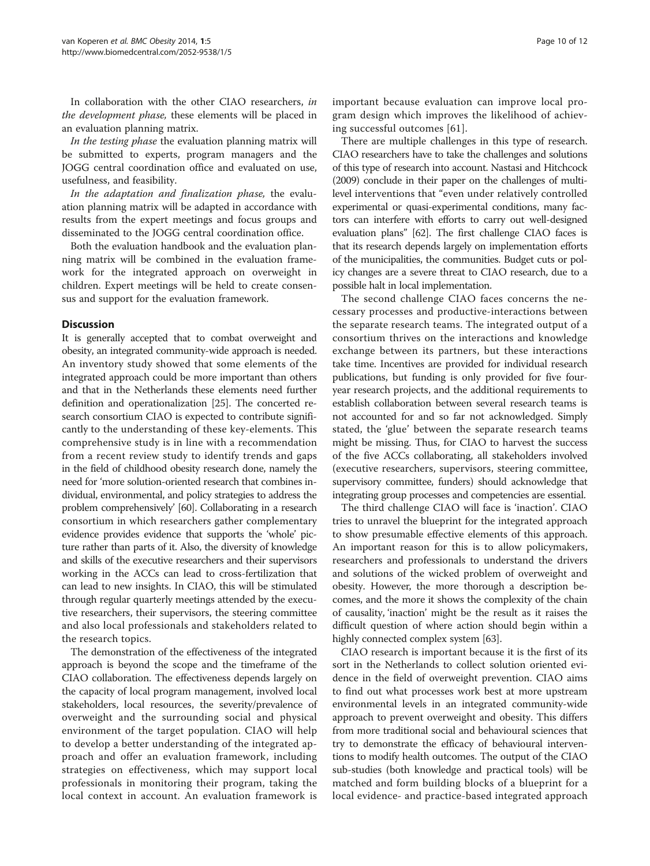In collaboration with the other CIAO researchers, in the development phase, these elements will be placed in an evaluation planning matrix.

In the testing phase the evaluation planning matrix will be submitted to experts, program managers and the JOGG central coordination office and evaluated on use, usefulness, and feasibility.

In the adaptation and finalization phase, the evaluation planning matrix will be adapted in accordance with results from the expert meetings and focus groups and disseminated to the JOGG central coordination office.

Both the evaluation handbook and the evaluation planning matrix will be combined in the evaluation framework for the integrated approach on overweight in children. Expert meetings will be held to create consensus and support for the evaluation framework.

#### **Discussion**

It is generally accepted that to combat overweight and obesity, an integrated community-wide approach is needed. An inventory study showed that some elements of the integrated approach could be more important than others and that in the Netherlands these elements need further definition and operationalization [[25\]](#page-10-0). The concerted research consortium CIAO is expected to contribute significantly to the understanding of these key-elements. This comprehensive study is in line with a recommendation from a recent review study to identify trends and gaps in the field of childhood obesity research done, namely the need for 'more solution-oriented research that combines individual, environmental, and policy strategies to address the problem comprehensively' [\[60\]](#page-11-0). Collaborating in a research consortium in which researchers gather complementary evidence provides evidence that supports the 'whole' picture rather than parts of it. Also, the diversity of knowledge and skills of the executive researchers and their supervisors working in the ACCs can lead to cross-fertilization that can lead to new insights. In CIAO, this will be stimulated through regular quarterly meetings attended by the executive researchers, their supervisors, the steering committee and also local professionals and stakeholders related to the research topics.

The demonstration of the effectiveness of the integrated approach is beyond the scope and the timeframe of the CIAO collaboration. The effectiveness depends largely on the capacity of local program management, involved local stakeholders, local resources, the severity/prevalence of overweight and the surrounding social and physical environment of the target population. CIAO will help to develop a better understanding of the integrated approach and offer an evaluation framework, including strategies on effectiveness, which may support local professionals in monitoring their program, taking the local context in account. An evaluation framework is

important because evaluation can improve local program design which improves the likelihood of achieving successful outcomes [[61\]](#page-11-0).

There are multiple challenges in this type of research. CIAO researchers have to take the challenges and solutions of this type of research into account. Nastasi and Hitchcock (2009) conclude in their paper on the challenges of multilevel interventions that "even under relatively controlled experimental or quasi-experimental conditions, many factors can interfere with efforts to carry out well-designed evaluation plans" [[62](#page-11-0)]. The first challenge CIAO faces is that its research depends largely on implementation efforts of the municipalities, the communities. Budget cuts or policy changes are a severe threat to CIAO research, due to a possible halt in local implementation.

The second challenge CIAO faces concerns the necessary processes and productive-interactions between the separate research teams. The integrated output of a consortium thrives on the interactions and knowledge exchange between its partners, but these interactions take time. Incentives are provided for individual research publications, but funding is only provided for five fouryear research projects, and the additional requirements to establish collaboration between several research teams is not accounted for and so far not acknowledged. Simply stated, the 'glue' between the separate research teams might be missing. Thus, for CIAO to harvest the success of the five ACCs collaborating, all stakeholders involved (executive researchers, supervisors, steering committee, supervisory committee, funders) should acknowledge that integrating group processes and competencies are essential.

The third challenge CIAO will face is 'inaction'. CIAO tries to unravel the blueprint for the integrated approach to show presumable effective elements of this approach. An important reason for this is to allow policymakers, researchers and professionals to understand the drivers and solutions of the wicked problem of overweight and obesity. However, the more thorough a description becomes, and the more it shows the complexity of the chain of causality, 'inaction' might be the result as it raises the difficult question of where action should begin within a highly connected complex system [\[63\]](#page-11-0).

CIAO research is important because it is the first of its sort in the Netherlands to collect solution oriented evidence in the field of overweight prevention. CIAO aims to find out what processes work best at more upstream environmental levels in an integrated community-wide approach to prevent overweight and obesity. This differs from more traditional social and behavioural sciences that try to demonstrate the efficacy of behavioural interventions to modify health outcomes. The output of the CIAO sub-studies (both knowledge and practical tools) will be matched and form building blocks of a blueprint for a local evidence- and practice-based integrated approach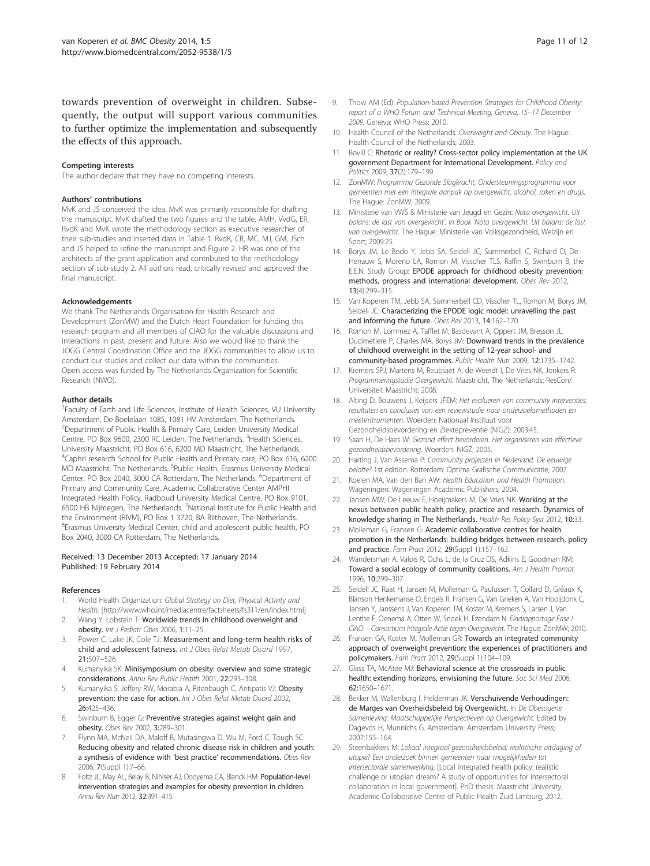<span id="page-10-0"></span>towards prevention of overweight in children. Subsequently, the output will support various communities to further optimize the implementation and subsequently the effects of this approach.

#### Competing interests

The author declare that they have no competing interests.

#### Authors' contributions

MvK and JS conceived the idea. MvK was primarily responsible for drafting the manuscript. MvK drafted the two figures and the table. AMH, VvdG, ER, RvdK and MvK wrote the methodology section as executive researcher of their sub-studies and inserted data in Table [1](#page-5-0). RvdK, CR, MC, MJ, GM, JSch and JS helped to refine the manuscript and Figure [2](#page-4-0). HR was one of the architects of the grant application and contributed to the methodology section of sub-study 2. All authors read, critically revised and approved the final manuscript.

#### Acknowledgements

We thank The Netherlands Organisation for Health Research and Development (ZonMW) and the Dutch Heart Foundation for funding this research program and all members of CIAO for the valuable discussions and interactions in past, present and future. Also we would like to thank the JOGG Central Coordination Office and the JOGG communities to allow us to conduct our studies and collect our data within the communities. Open access was funded by The Netherlands Organization for Scientific Research (NWO).

#### Author details

<sup>1</sup> Faculty of Earth and Life Sciences, Institute of Health Sciences, VU University Amsterdam, De Boelelaan 1085, 1081 HV Amsterdam, The Netherlands. <sup>2</sup> Department of Public Health & Primary Care, Leiden University Medical Centre, PO Box 9600, 2300 RC Leiden, The Netherlands. <sup>3</sup>Health Sciences, University Maastricht, PO Box 616, 6200 MD Maastricht, The Netherlands. <sup>4</sup>Caphri research School for Public Health and Primary care, PO Box 616, 6200 MD Maastricht, The Netherlands. <sup>5</sup>Public Health, Erasmus University Medical Center, PO Box 2040, 3000 CA Rotterdam, The Netherlands. <sup>6</sup>Department of Primary and Community Care, Academic Collaborative Center AMPHI Integrated Health Policy, Radboud University Medical Centre, PO Box 9101, 6500 HB Nijmegen, The Netherlands. <sup>7</sup>National Institute for Public Health and the Environment (RIVM), PO Box 1 3720, BA Bilthoven, The Netherlands. <sup>8</sup> Erasmus University Medical Center, child and adolescent public health, PO Box 2040, 3000 CA Rotterdam, The Netherlands.

#### Received: 13 December 2013 Accepted: 17 January 2014 Published: 19 February 2014

#### References

- 1. World Health Organization: Global Strategy on Diet, Physical Activity and Health. [[http://www.who.int/mediacentre/factsheets/fs311/en/index.html\]](http://www.who.int/mediacentre/factsheets/fs311/en/index.html)
- 2. Wang Y, Lobstein T: Worldwide trends in childhood overweight and obesity. Int J Pediatr Obes 2006, 1:11–25.
- 3. Power C, Lake JK, Cole TJ: Measurement and long-term health risks of child and adolescent fatness. Int J Obes Relat Metab Disord 1997, 21:507–526.
- 4. Kumanyika SK: Minisymposium on obesity: overview and some strategic considerations. Annu Rev Public Health 2001, 22:293–308.
- 5. Kumanyika S, Jeffery RW, Morabia A, Ritenbaugh C, Antipatis VJ: Obesity prevention: the case for action. Int J Obes Relat Metab Disord 2002, 26:425–436.
- 6. Swinburn B, Egger G: Preventive strategies against weight gain and obesity. Obes Rev 2002, 3:289–301.
- Flynn MA, McNeil DA, Maloff B, Mutasingwa D, Wu M, Ford C, Tough SC: Reducing obesity and related chronic disease risk in children and youth: a synthesis of evidence with 'best practice' recommendations. Obes Rev 2006, 7(Suppl 1):7–66.
- Foltz JL, May AL, Belay B, Nihiser AJ, Dooyema CA, Blanck HM: Population-level intervention strategies and examples for obesity prevention in children. Annu Rev Nutr 2012, 32:391–415.
- Thow AM (Ed): Population-based Prevention Strategies for Childhood Obesity: report of a WHO Forum and Technical Meeting, Geneva, 15–17 December 2009. Geneva: WHO Press; 2010.
- 10. Health Council of the Netherlands: Overweight and Obesity. The Hague: Health Council of the Netherlands; 2003.
- 11. Bovill C: Rhetoric or reality? Cross-sector policy implementation at the UK government Department for International Development. Policy and Politics 2009, 37(2):179–199.
- 12. ZonMW: Programma Gezonde Slagkracht, Ondersteuningsprogramma voor gemeenten met een integrale aanpak op overgewicht, alcohol, roken en drugs. The Hague: ZonMW: 2009.
- 13. Ministerie van VWS & Ministerie van Jeugd en Gezin: Nota overgewicht. Uit balans: de last van overgewicht'. In Book 'Nota overgewicht. Uit balans: de last van overgewicht. The Hague: Ministerie van Volksgezondheid, Welzijn en Sport; 2009:25.
- 14. Borys JM, Le Bodo Y, Jebb SA, Seidell JC, Summerbell C, Richard D, De Henauw S, Moreno LA, Romon M, Visscher TLS, Raffin S, Swinburn B, the E.E.N. Study Group: EPODE approach for childhood obesity prevention: methods, progress and international development. Obes Rev 2012, 13(4):299–315.
- 15. Van Koperen TM, Jebb SA, Summerbell CD, Visscher TL, Romon M, Borys JM, Seidell JC: Characterizing the EPODE logic model: unravelling the past and informing the future. Obes Rev 2013, 14:162–170.
- 16. Romon M, Lommez A, Tafflet M, Basdevant A, Oppert JM, Bresson JL, Ducimetiere P, Charles MA, Borys JM: Downward trends in the prevalence of childhood overweight in the setting of 12-year school- and community-based programmes. Public Health Nutr 2009, 12:1735–1742.
- 17. Kremers SPJ, Martens M, Reubsaet A, de Weerdt I, De Vries NK, Jonkers R: Programmeringstudie Overgewicht. Maastricht, The Netherlands: ResCon/ Universiteit Maastricht; 2008.
- 18. Alting D, Bouwens J, Keijsers JFEM: Het evalueren van community interventies: resultaten en conclusies van een reviewstudie naar onderzoeksmethoden en meetinstrumenten. Woerden: Nationaal Instituut voor Gezondheidsbevordering en Ziektepreventie (NIGZ); 2003:45.
- 19. Saan H, De Haes W: Gezond effect bevorderen. Het organiseren van effectieve gezondheidsbevordering. Woerden: NIGZ; 2005.
- 20. Harting J, Van Assema P: Community projecten in Nederland. De eeuwige belofte? 1st edition. Rotterdam: Optima Grafische Communicatie; 2007.
- 21. Koelen MA, Van den Ban AW: Health Education and Health Promotion. Wageningen: Wageningen Academic Publishers; 2004.
- 22. Jansen MW, De Leeuw E, Hoeijmakers M, De Vries NK: Working at the nexus between public health policy, practice and research. Dynamics of knowledge sharing in The Netherlands. Health Res Policy Syst 2012, 10:33.
- 23. Molleman G, Fransen G: Academic collaborative centres for health promotion in the Netherlands: building bridges between research, policy and practice. Fam Pract 2012, 29(Suppl 1):157–162.
- 24. Wandersman A, Valois R, Ochs L, de la Cruz DS, Adkins E, Goodman RM: Toward a social ecology of community coalitions. Am J Health Promot 1996, 10:299–307.
- 25. Seidell JC, Raat H, Jansen M, Molleman G, Paulussen T, Collard D, Grêaux K, Blanson Henkemanse O, Engels R, Fransen G, Van Grieken A, Van Hooijdonk C, Jansen Y, Janssens J, Van Koperen TM, Koster M, Kremers S, Larsen J, Van Lenthe F, Oenema A, Otten W, Snoek H, Ezendam N: Eindrapportage Fase I CIAO – Consortium Integrale Actie tegen Overgewicht. The Hague: ZonMW; 2010.
- 26. Fransen GA, Koster M, Molleman GR: Towards an integrated community approach of overweight prevention: the experiences of practitioners and policymakers. Fam Pract 2012, 29(Suppl 1):104–109.
- 27. Glass TA, McAtee MJ: Behavioral science at the crossroads in public health: extending horizons, envisioning the future. Soc Sci Med 2006, 62:1650–1671.
- 28. Bekker M, Wallenburg I, Helderman JK: Verschuivende Verhoudingen: de Marges van Overheidsbeleid bij Overgewicht. In De Obesogene Samenleving: Maatschappelijke Perspectieven op Overgewicht. Edited by Dagevos H, Munnichs G. Amsterdam: Amsterdam University Press; 2007:155–164.
- 29. Steenbakkers M: Lokaal integraal gezondheidsbeleid: realistische uitdaging of utopie? Een onderzoek binnen gemeenten naar mogelijkheden tot intersectorale samenwerking, [Local integrated health policy: realistic challenge or utopian dream? A study of opportunities for intersectoral collaboration in local government]. PhD thesis. Maastricht University, Academic Collaborative Centre of Public Health Zuid Limburg; 2012.